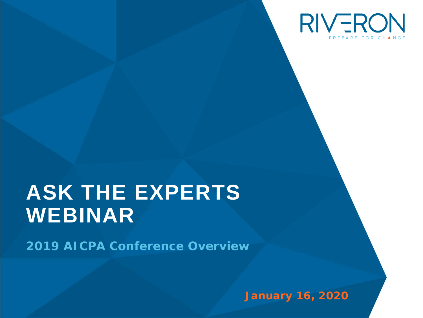

# **ASK THE EXPERTS WEBINAR**

*2019 AICPA Conference Overview* 

**January 16, 2020**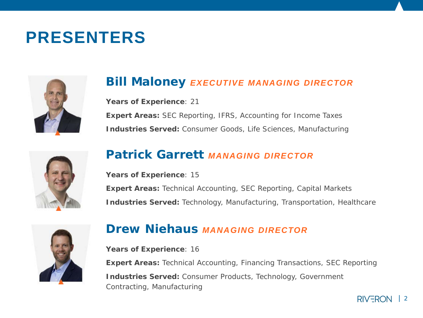# **PRESENTERS**

## **Bill Maloney** *EXECUTIVE MANAGING DIRECTOR*

**Years of Experience**: 21 **Expert Areas:** SEC Reporting, IFRS, Accounting for Income Taxes **Industries Served:** Consumer Goods, Life Sciences, Manufacturing



# **Patrick Garrett** *MANAGING DIRECTOR*

**Years of Experience**: 15 **Expert Areas: Technical Accounting, SEC Reporting, Capital Markets Industries Served:** Technology, Manufacturing, Transportation, Healthcare



### **Drew Niehaus** *MANAGING DIRECTOR*

**Years of Experience**: 16 **Expert Areas:** Technical Accounting, Financing Transactions, SEC Reporting **Industries Served:** Consumer Products, Technology, Government Contracting, Manufacturing

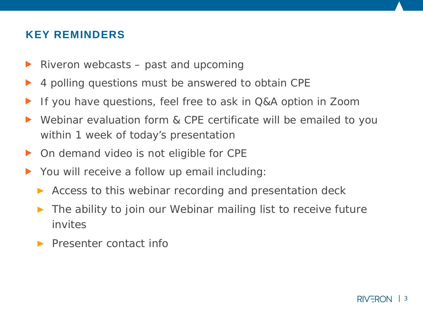## **KEY REMINDERS**

- Riveron webcasts past and upcoming E
- 4 polling questions must be answered to obtain CPE
- If you have questions, feel free to ask in Q&A option in Zoom  $\blacktriangleright$
- Webinar evaluation form & CPE certificate will be emailed to you  $\blacktriangleright$ within 1 week of today's presentation
- ▶ On demand video is not eligible for CPE
- ▶ You will receive a follow up email including:
	- Access to this webinar recording and presentation deck
	- The ability to join our Webinar mailing list to receive future invites
	- **Presenter contact info**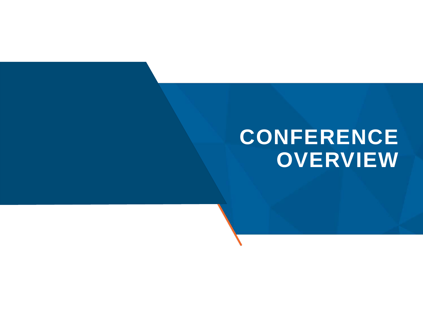# **CONFERENCE OVERVIEW**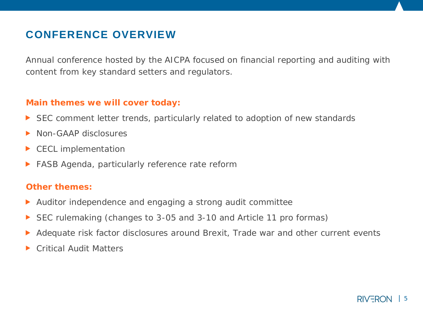# **CONFERENCE OVERVIEW**

Annual conference hosted by the AICPA focused on financial reporting and auditing with content from key standard setters and regulators.

#### **Main themes we will cover today:**

- ▶ SEC comment letter trends, particularly related to adoption of new standards
- Non-GAAP disclosures
- CECL implementation  $\blacktriangleright$
- FASB Agenda, particularly reference rate reform  $\blacktriangleright$

#### **Other themes:**

- Auditor independence and engaging a strong audit committee ▶
- SEC rulemaking (changes to 3-05 and 3-10 and Article 11 pro formas) ▶
- Adequate risk factor disclosures around Brexit, Trade war and other current events
- Critical Audit Matters ▶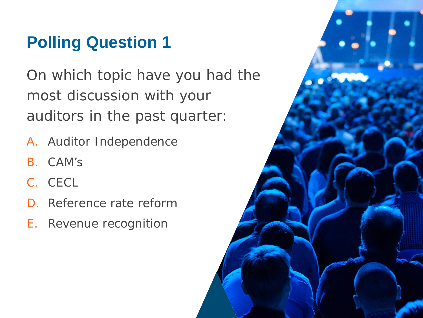# **Polling Question 1**

On which topic have you had the most discussion with your auditors in the past quarter:

- A. Auditor Independence
- B. CAM's
- C. CECL
- D. Reference rate reform
- E. Revenue recognition

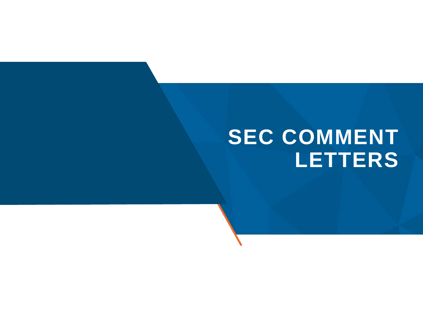# **SEC COMMENT LETTERS**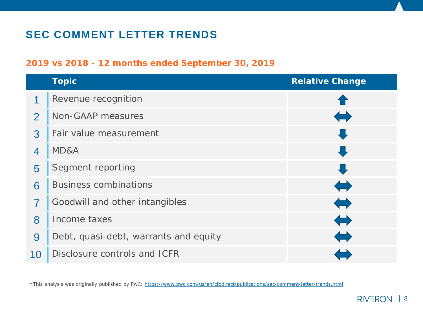# **SEC COMMENT LETTER TRENDS**

### **2019 vs 2018 - 12 months ended September 30, 2019**

|                | <b>Topic</b>                          | <b>Relative Change</b>                    |
|----------------|---------------------------------------|-------------------------------------------|
| 1              | Revenue recognition                   |                                           |
| $\overline{2}$ | Non-GAAP measures                     | $\left\langle \blacksquare \right\rangle$ |
| 3              | Fair value measurement                | ┺                                         |
| $\overline{4}$ | MD&A                                  | U                                         |
| 5              | Segment reporting                     | U                                         |
| 6              | <b>Business combinations</b>          | $\blacklozenge$                           |
| 7              | Goodwill and other intangibles        | $\Leftrightarrow$                         |
| 8              | Income taxes                          | $\Leftrightarrow$                         |
| 9              | Debt, quasi-debt, warrants and equity | $\Longleftrightarrow$                     |
| 10             | Disclosure controls and ICFR          |                                           |

**\***This analysis was originally published by PwC:<https://www.pwc.com/us/en/cfodirect/publications/sec-comment-letter-trends.html>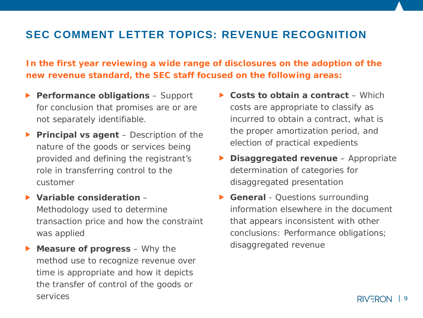### **SEC COMMENT LETTER TOPICS: REVENUE RECOGNITION**

**In the first year reviewing a wide range of disclosures on the adoption of the new revenue standard, the SEC staff focused on the following areas:**

- **Performance obligations**  Support for conclusion that promises are or are not separately identifiable.
- **Principal vs agent** Description of the nature of the goods or services being provided and defining the registrant's role in transferring control to the customer
- **Variable consideration**  Methodology used to determine transaction price and how the constraint was applied
- **Measure of progress** Why the  $\blacktriangleright$ method use to recognize revenue over time is appropriate and how it depicts the transfer of control of the goods or services
- ▶ Costs to obtain a contract Which costs are appropriate to classify as incurred to obtain a contract, what is the proper amortization period, and election of practical expedients
- **Disaggregated revenue**  Appropriate determination of categories for disaggregated presentation
- **General** Questions surrounding information elsewhere in the document that appears inconsistent with other conclusions: Performance obligations; disaggregated revenue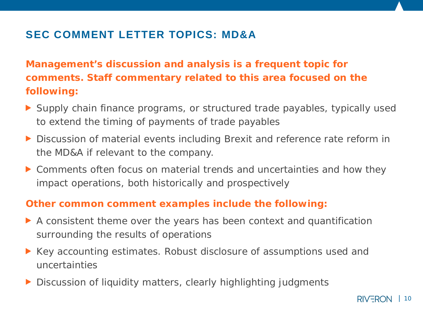# **SEC COMMENT LETTER TOPICS: MD&A**

**Management's discussion and analysis is a frequent topic for comments. Staff commentary related to this area focused on the following:**

- ▶ Supply chain finance programs, or structured trade payables, typically used to extend the timing of payments of trade payables
- ▶ Discussion of material events including Brexit and reference rate reform in the MD&A if relevant to the company.
- Comments often focus on material trends and uncertainties and how they impact operations, both historically and prospectively

### **Other common comment examples include the following:**

- A consistent theme over the years has been context and quantification surrounding the results of operations
- ▶ Key accounting estimates. Robust disclosure of assumptions used and uncertainties
- Discussion of liquidity matters, clearly highlighting judgments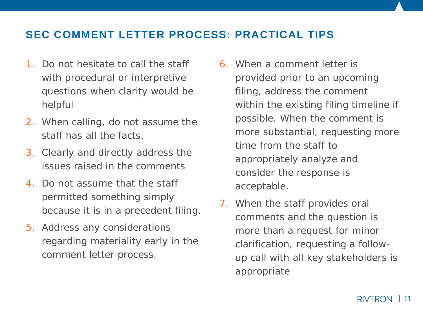### **SEC COMMENT LETTER PROCESS: PRACTICAL TIPS**

- 1. Do not hesitate to call the staff with procedural or interpretive questions when clarity would be helpful
- 2. When calling, do not assume the staff has all the facts.
- 3. Clearly and directly address the issues raised in the comments
- 4. Do not assume that the staff permitted something simply because it is in a precedent filing.
- 5. Address any considerations regarding materiality early in the comment letter process.
- 6. When a comment letter is provided prior to an upcoming filing, address the comment within the existing filing timeline if possible. When the comment is more substantial, requesting more time from the staff to appropriately analyze and consider the response is acceptable.
- 7. When the staff provides oral comments and the question is more than a request for minor clarification, requesting a followup call with all key stakeholders is appropriate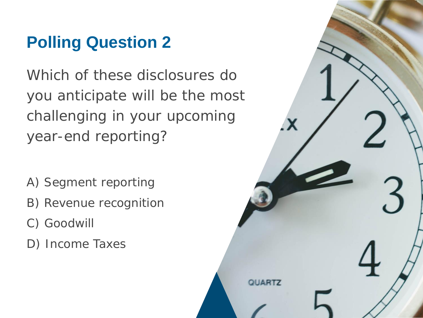# **Polling Question 2**

Which of these disclosures do you anticipate will be the most challenging in your upcoming year-end reporting?

- A) Segment reporting
- B) Revenue recognition
- C) Goodwill
- D) Income Taxes

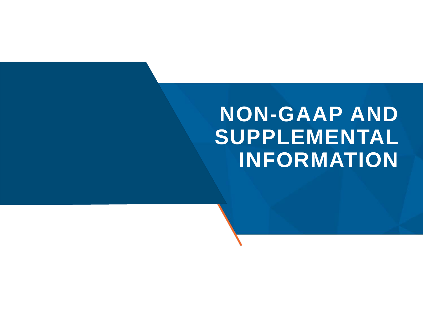# **NON-GAAP AND SUPPLEMENTAL INFORMATION**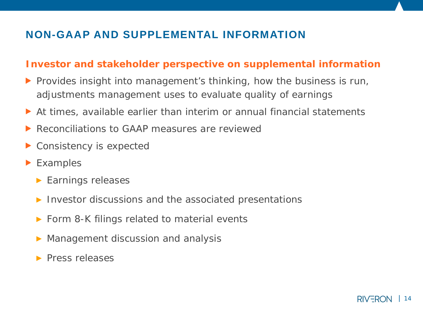# **NON-GAAP AND SUPPLEMENTAL INFORMATION**

### **Investor and stakeholder perspective on supplemental information**

- $\triangleright$  Provides insight into management's thinking, how the business is run, adjustments management uses to evaluate quality of earnings
- At times, available earlier than interim or annual financial statements
- ▶ Reconciliations to GAAP measures are reviewed
- ▶ Consistency is expected
- **Examples** 
	- **Earnings releases**
	- Investor discussions and the associated presentations
	- ▶ Form 8-K filings related to material events
	- Management discussion and analysis
	- $\blacktriangleright$  Press releases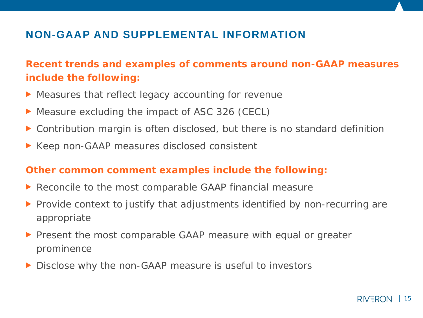# **NON-GAAP AND SUPPLEMENTAL INFORMATION**

**Recent trends and examples of comments around non-GAAP measures include the following:**

- **Measures that reflect legacy accounting for revenue**
- ▶ Measure excluding the impact of ASC 326 (CECL)
- Contribution margin is often disclosed, but there is no standard definition
- ▶ Keep non-GAAP measures disclosed consistent

### **Other common comment examples include the following:**

- ▶ Reconcile to the most comparable GAAP financial measure
- **Provide context to justify that adjustments identified by non-recurring are** appropriate
- **Peasent the most comparable GAAP measure with equal or greater** prominence
- Disclose why the non-GAAP measure is useful to investors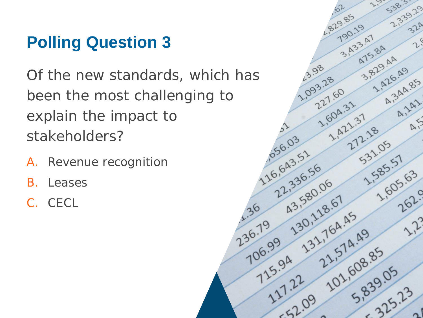# **Polling Question 3**

Of the new standards, which has been the most challenging to explain the impact to stakeholders?

- A. Revenue recognition
- B. Leases
- C. CECL

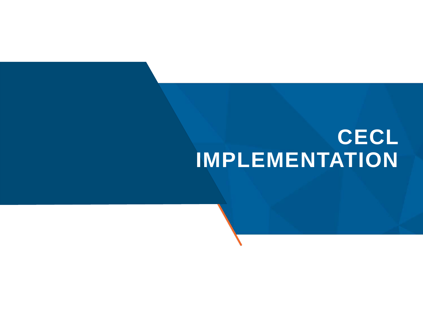# **CECL IMPLEMENTATION**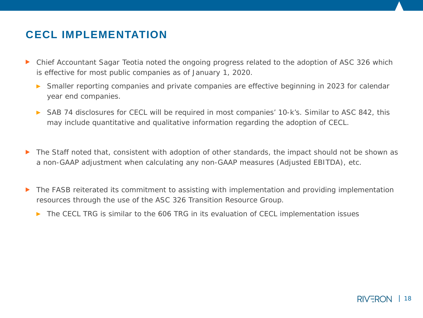### **CECL IMPLEMENTATION**

- Chief Accountant Sagar Teotia noted the ongoing progress related to the adoption of ASC 326 which ▶ is effective for most public companies as of January 1, 2020.
	- Smaller reporting companies and private companies are effective beginning in 2023 for calendar  $\blacktriangleright$ year end companies.
	- SAB 74 disclosures for CECL will be required in most companies' 10-k's. Similar to ASC 842, this may include quantitative and qualitative information regarding the adoption of CECL.
- ▶ The Staff noted that, consistent with adoption of other standards, the impact should not be shown as a non-GAAP adjustment when calculating any non-GAAP measures (Adjusted EBITDA), etc.
- The FASB reiterated its commitment to assisting with implementation and providing implementation ▶ resources through the use of the ASC 326 Transition Resource Group.
	- ▶ The CECL TRG is similar to the 606 TRG in its evaluation of CECL implementation issues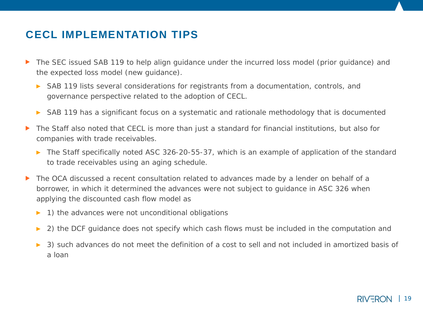# **CECL IMPLEMENTATION TIPS**

- The SEC issued SAB 119 to help align guidance under the incurred loss model (prior guidance) and ▶ the expected loss model (new guidance).
	- SAB 119 lists several considerations for registrants from a documentation, controls, and governance perspective related to the adoption of CECL.
	- SAB 119 has a significant focus on a systematic and rationale methodology that is documented
- The Staff also noted that CECL is more than just a standard for financial institutions, but also for ▶ companies with trade receivables.
	- ▶ The Staff specifically noted ASC 326-20-55-37, which is an example of application of the standard to trade receivables using an aging schedule.
- The OCA discussed a recent consultation related to advances made by a lender on behalf of a ▶ borrower, in which it determined the advances were not subject to guidance in ASC 326 when applying the discounted cash flow model as
	- 1) the advances were not unconditional obligations  $\blacktriangleright$
	- 2) the DCF guidance does not specify which cash flows must be included in the computation and  $\blacktriangleright$
	- 3) such advances do not meet the definition of a cost to sell and not included in amortized basis of  $\blacktriangleright$ a loan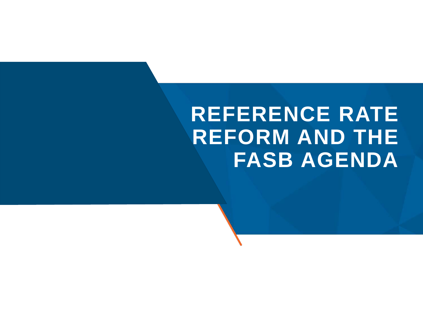# **REFERENCE RATE REFORM AND THE FASB AGENDA**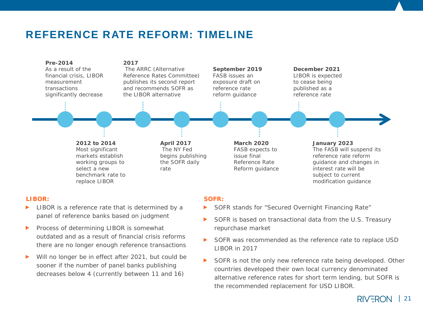### **REFERENCE RATE REFORM: TIMELINE**



#### **LIBOR:**

- LIBOR is a reference rate that is determined by a panel of reference banks based on judgment
- Process of determining LIBOR is somewhat  $\blacktriangleright$ outdated and as a result of financial crisis reforms there are no longer enough reference transactions
- Will no longer be in effect after 2021, but could be ▶ sooner if the number of panel banks publishing decreases below 4 (currently between 11 and 16)

#### **SOFR:**

- SOFR stands for "Secured Overnight Financing Rate"
- SOFR is based on transactional data from the U.S. Treasury repurchase market
- $\blacktriangleright$ SOFR was recommended as the reference rate to replace USD LIBOR in 2017
- $\blacktriangleright$ SOFR is not the only new reference rate being developed. Other countries developed their own local currency denominated alternative reference rates for short term lending, but SOFR is the recommended replacement for USD LIBOR.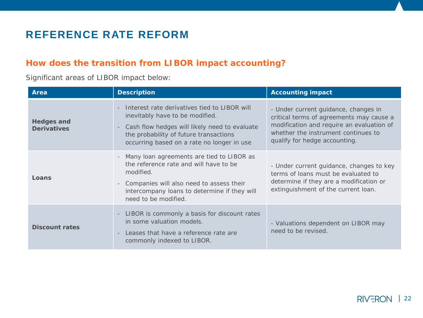# **REFERENCE RATE REFORM**

#### **How does the transition from LIBOR impact accounting?**

Significant areas of LIBOR impact below:

| Area                                    | <b>Description</b>                                                                                                                                                                                                         | <b>Accounting impact</b>                                                                                                                                                                              |
|-----------------------------------------|----------------------------------------------------------------------------------------------------------------------------------------------------------------------------------------------------------------------------|-------------------------------------------------------------------------------------------------------------------------------------------------------------------------------------------------------|
| <b>Hedges and</b><br><b>Derivatives</b> | Interest rate derivatives tied to LIBOR will<br>inevitably have to be modified.<br>- Cash flow hedges will likely need to evaluate<br>the probability of future transactions<br>occurring based on a rate no longer in use | - Under current guidance, changes in<br>critical terms of agreements may cause a<br>modification and require an evaluation of<br>whether the instrument continues to<br>qualify for hedge accounting. |
| Loans                                   | - Many loan agreements are tied to LIBOR as<br>the reference rate and will have to be<br>modified.<br>- Companies will also need to assess their<br>intercompany loans to determine if they will<br>need to be modified.   | - Under current guidance, changes to key<br>terms of loans must be evaluated to<br>determine if they are a modification or<br>extinguishment of the current loan.                                     |
| <b>Discount rates</b>                   | - LIBOR is commonly a basis for discount rates<br>in some valuation models.<br>Leases that have a reference rate are<br>commonly indexed to LIBOR.                                                                         | - Valuations dependent on LIBOR may<br>need to be revised.                                                                                                                                            |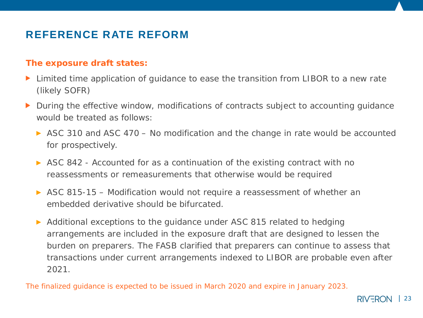# **REFERENCE RATE REFORM**

#### **The exposure draft states:**

- Limited time application of guidance to ease the transition from LIBOR to a new rate (likely SOFR)
- During the effective window, modifications of contracts subject to accounting guidance ▶ would be treated as follows:
	- ASC 310 and ASC 470 No modification and the change in rate would be accounted for prospectively.
	- ASC 842 Accounted for as a continuation of the existing contract with no reassessments or remeasurements that otherwise would be required
	- ASC 815-15 Modification would not require a reassessment of whether an embedded derivative should be bifurcated.
	- Additional exceptions to the guidance under ASC 815 related to hedging arrangements are included in the exposure draft that are designed to lessen the burden on preparers. The FASB clarified that preparers can continue to assess that transactions under current arrangements indexed to LIBOR are probable even after 2021.

*The finalized guidance is expected to be issued in March 2020 and expire in January 2023.*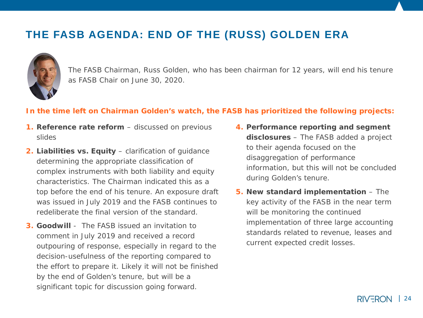## **THE FASB AGENDA: END OF THE (RUSS) GOLDEN ERA**



The FASB Chairman, Russ Golden, who has been chairman for 12 years, will end his tenure as FASB Chair on June 30, 2020.

#### **In the time left on Chairman Golden's watch, the FASB has prioritized the following projects:**

- **1. Reference rate reform** discussed on previous slides
- **2. Liabilities vs. Equity** clarification of guidance determining the appropriate classification of complex instruments with both liability and equity characteristics. The Chairman indicated this as a top before the end of his tenure. An exposure draft was issued in July 2019 and the FASB continues to redeliberate the final version of the standard.
- **3. Goodwill**  The FASB issued an invitation to comment in July 2019 and received a record outpouring of response, especially in regard to the decision-usefulness of the reporting compared to the effort to prepare it. Likely it will not be finished by the end of Golden's tenure, but will be a significant topic for discussion going forward.
- **4. Performance reporting and segment disclosures** – The FASB added a project to their agenda focused on the disaggregation of performance information, but this will not be concluded during Golden's tenure.
- **5. New standard implementation**  The key activity of the FASB in the near term will be monitoring the continued implementation of three large accounting standards related to revenue, leases and current expected credit losses.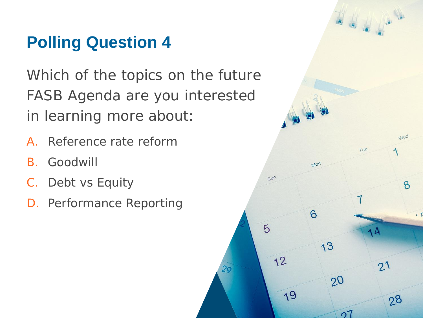# **Polling Question 4**

Which of the topics on the future FASB Agenda are you interested in learning more about:

- A. Reference rate reform
- B. Goodwill
- C. Debt vs Equity
- D. Performance Reporting